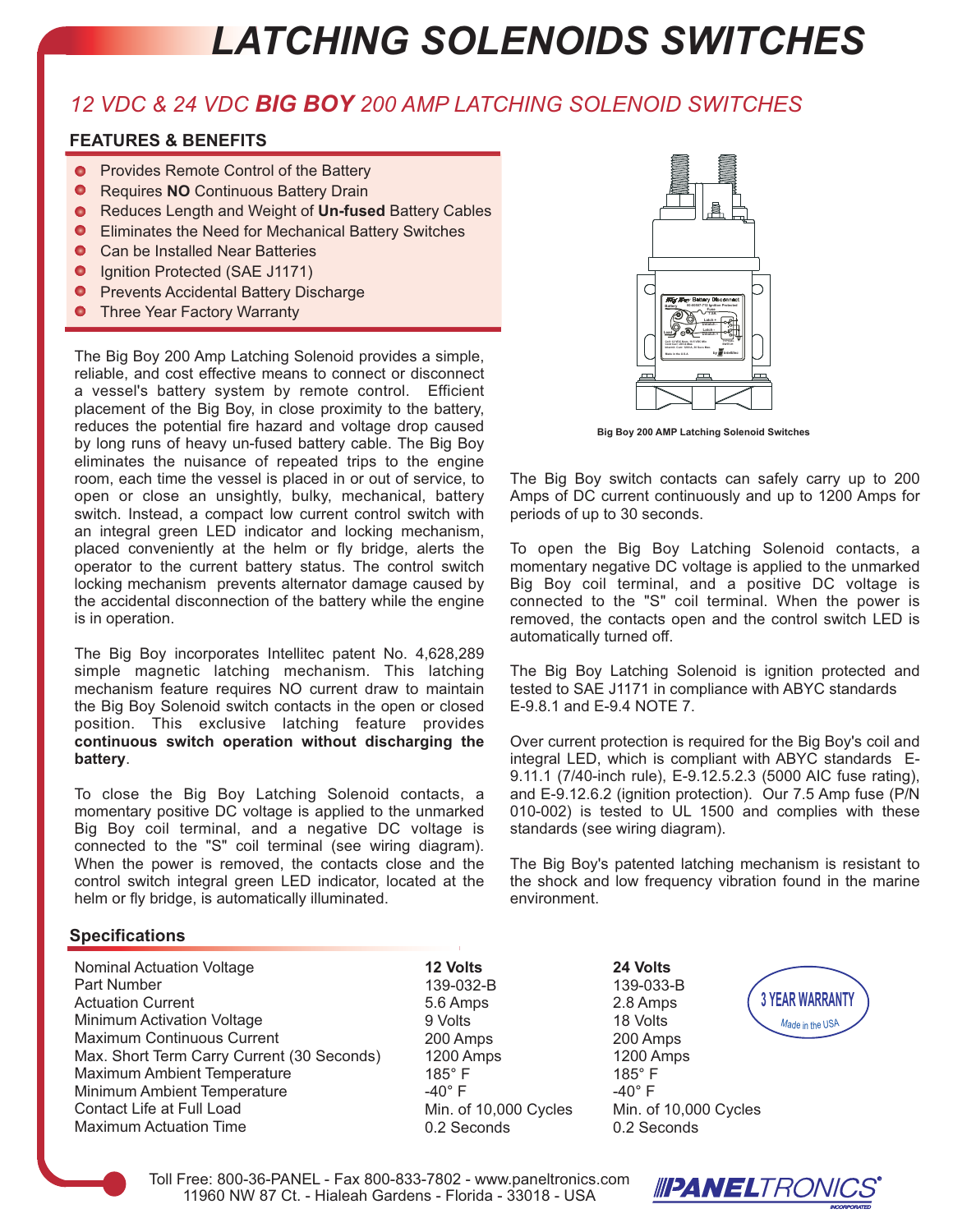## *LATCHING SOLENOIDS SWITCHES*

### *12 VDC & 24 VDC BIG BOY 200 AMP LATCHING SOLENOID SWITCHES*

#### **FEATURES & BENEFITS**

- Provides Remote Control of the Battery
- $\bullet$ Requires **NO** Continuous Battery Drain
- **Reduces Length and Weight of Un-fused Battery Cables**
- Eliminates the Need for Mechanical Battery Switches  $\bullet$
- $\bullet$ Can be Installed Near Batteries
- $\bullet$ Ignition Protected (SAE J1171)
- Prevents Accidental Battery Discharge
- **O** Three Year Factory Warranty

The Big Boy 200 Amp Latching Solenoid provides a simple, reliable, and cost effective means to connect or disconnect a vessel's battery system by remote control. Efficient placement of the Big Boy, in close proximity to the battery, reduces the potential fire hazard and voltage drop caused by long runs of heavy un-fused battery cable. The Big Boy eliminates the nuisance of repeated trips to the engine room, each time the vessel is placed in or out of service, to open or close an unsightly, bulky, mechanical, battery switch. Instead, a compact low current control switch with an integral green LED indicator and locking mechanism, placed conveniently at the helm or fly bridge, alerts the operator to the current battery status. The control switch locking mechanism prevents alternator damage caused by the accidental disconnection of the battery while the engine is in operation.

The Big Boy incorporates Intellitec patent No. 4,628,289 simple magnetic latching mechanism. This latching mechanism feature requires NO current draw to maintain the Big Boy Solenoid switch contacts in the open or closed position. This exclusive latching feature provides **continuous switch operation without discharging the battery**.

To close the Big Boy Latching Solenoid contacts, a momentary positive DC voltage is applied to the unmarked Big Boy coil terminal, and a negative DC voltage is connected to the "S" coil terminal (see wiring diagram). When the power is removed, the contacts close and the control switch integral green LED indicator, located at the helm or fly bridge, is automatically illuminated.



**Big Boy 200 AMP Latching Solenoid Switches**

The Big Boy switch contacts can safely carry up to 200 Amps of DC current continuously and up to 1200 Amps for periods of up to 30 seconds.

To open the Big Boy Latching Solenoid contacts, a momentary negative DC voltage is applied to the unmarked Big Boy coil terminal, and a positive DC voltage is connected to the "S" coil terminal. When the power is removed, the contacts open and the control switch LED is automatically turned off.

The Big Boy Latching Solenoid is ignition protected and tested to SAE J1171 in compliance with ABYC standards E-9.8.1 and E-9.4 NOTE 7.

Over current protection is required for the Big Boy's coil and integral LED, which is compliant with ABYC standards E-9.11.1 (7/40-inch rule), E-9.12.5.2.3 (5000 AIC fuse rating), and E-9.12.6.2 (ignition protection). Our 7.5 Amp fuse (P/N 010-002) is tested to UL 1500 and complies with these standards (see wiring diagram).

The Big Boy's patented latching mechanism is resistant to the shock and low frequency vibration found in the marine environment.

#### **Specifications**

Nominal Actuation Voltage Part Number Actuation Current Minimum Activation Voltage Maximum Continuous Current Max. Short Term Carry Current (30 Seconds) Maximum Ambient Temperature Minimum Ambient Temperature Contact Life at Full Load Maximum Actuation Time

**12 Volts** 139-032-B 5.6 Amps 9 Volts 200 Amps 1200 Amps 185° F  $-40^\circ$  F Min. of 10,000 Cycles 0.2 Seconds

**24 Volts** 139-033-B 2.8 Amps 18 Volts 200 Amps 1200 Amps 185° F  $-40^\circ$  F Min. of 10,000 Cycles 0.2 Seconds





Toll Free: 800-36-PANEL - Fax 800-833-7802 - www.paneltronics.com 11960 NW 87 Ct. - Hialeah Gardens - Florida - 33018 - USA